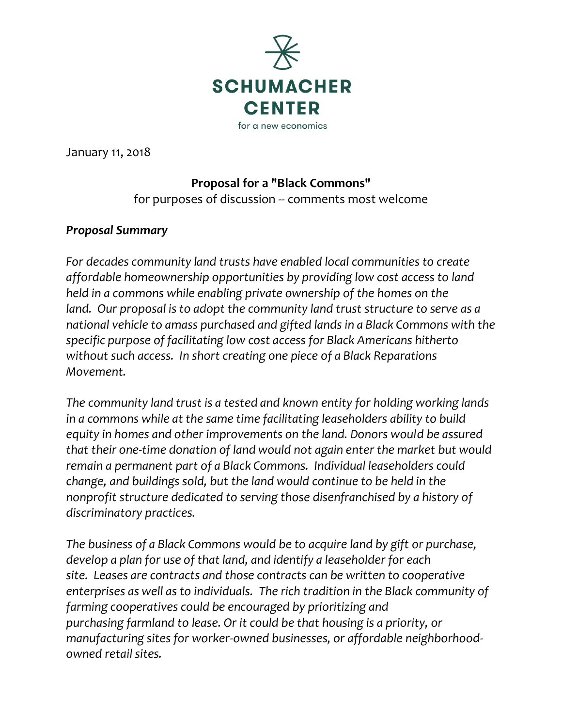

January 11, 2018

### **Proposal for a "Black Commons"**

for purposes of discussion -- comments most welcome

### *Proposal Summary*

*For decades community land trusts have enabled local communities to create affordable homeownership opportunities by providing low cost access to land held in a commons while enabling private ownership of the homes on the land. Our proposal is to adopt the community land trust structure to serve as a national vehicle to amass purchased and gifted lands in a Black Commons with the specific purpose of facilitating low cost access for Black Americans hitherto without such access. In short creating one piece of a Black Reparations Movement.*

*The community land trust is a tested and known entity for holding working lands in a commons while at the same time facilitating leaseholders ability to build equity in homes and other improvements on the land. Donors would be assured that their one-time donation of land would not again enter the market but would remain a permanent part of a Black Commons. Individual leaseholders could change, and buildings sold, but the land would continue to be held in the nonprofit structure dedicated to serving those disenfranchised by a history of discriminatory practices.* 

*The business of a Black Commons would be to acquire land by gift or purchase, develop a plan for use of that land, and identify a leaseholder for each site. Leases are contracts and those contracts can be written to cooperative enterprises as well as to individuals. The rich tradition in the Black community of farming cooperatives could be encouraged by prioritizing and purchasing farmland to lease. Or it could be that housing is a priority, or manufacturing sites for worker-owned businesses, or affordable neighborhoodowned retail sites.*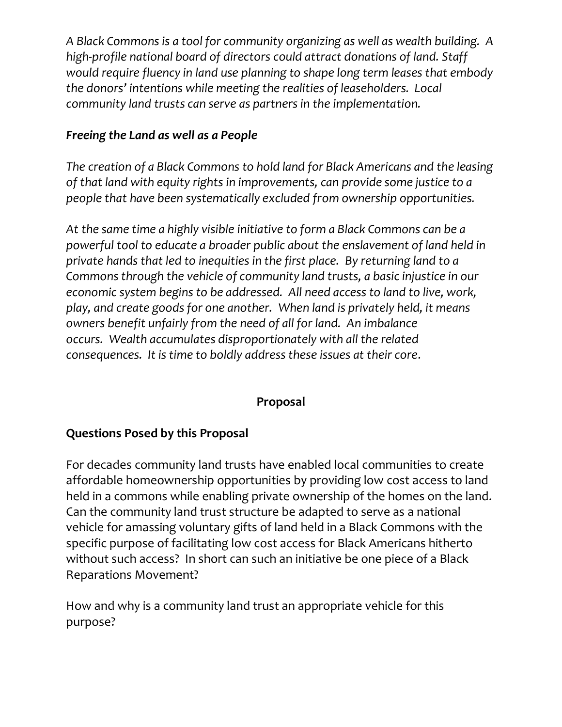*A Black Commons is a tool for community organizing as well as wealth building. A high-profile national board of directors could attract donations of land. Staff would require fluency in land use planning to shape long term leases that embody the donors' intentions while meeting the realities of leaseholders. Local community land trusts can serve as partners in the implementation.* 

## *Freeing the Land as well as a People*

*The creation of a Black Commons to hold land for Black Americans and the leasing of that land with equity rights in improvements, can provide some justice to a people that have been systematically excluded from ownership opportunities.*

*At the same time a highly visible initiative to form a Black Commons can be a powerful tool to educate a broader public about the enslavement of land held in private hands that led to inequities in the first place. By returning land to a Commons through the vehicle of community land trusts, a basic injustice in our economic system begins to be addressed. All need access to land to live, work, play, and create goods for one another. When land is privately held, it means owners benefit unfairly from the need of all for land. An imbalance occurs. Wealth accumulates disproportionately with all the related consequences. It is time to boldly address these issues at their core.*

### **Proposal**

### **Questions Posed by this Proposal**

For decades community land trusts have enabled local communities to create affordable homeownership opportunities by providing low cost access to land held in a commons while enabling private ownership of the homes on the land. Can the community land trust structure be adapted to serve as a national vehicle for amassing voluntary gifts of land held in a Black Commons with the specific purpose of facilitating low cost access for Black Americans hitherto without such access? In short can such an initiative be one piece of a Black Reparations Movement?

How and why is a community land trust an appropriate vehicle for this purpose?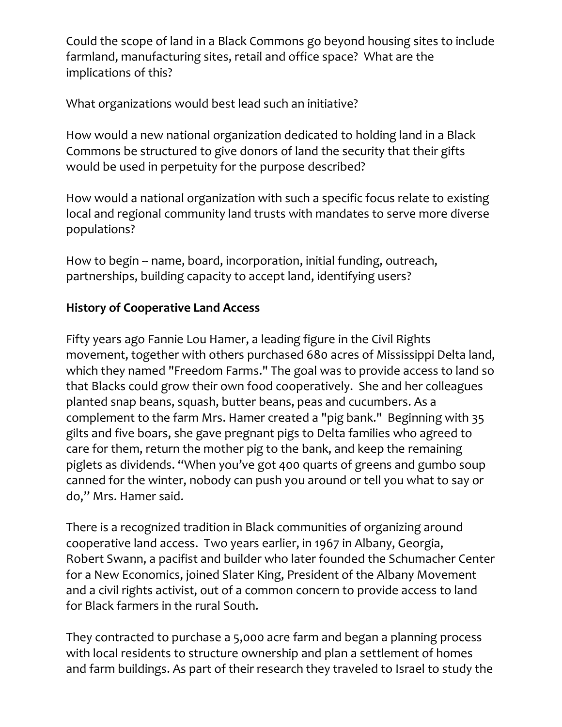Could the scope of land in a Black Commons go beyond housing sites to include farmland, manufacturing sites, retail and office space? What are the implications of this?

What organizations would best lead such an initiative?

How would a new national organization dedicated to holding land in a Black Commons be structured to give donors of land the security that their gifts would be used in perpetuity for the purpose described?

How would a national organization with such a specific focus relate to existing local and regional community land trusts with mandates to serve more diverse populations?

How to begin -- name, board, incorporation, initial funding, outreach, partnerships, building capacity to accept land, identifying users?

# **History of Cooperative Land Access**

Fifty years ago Fannie Lou Hamer, a leading figure in the Civil Rights movement, together with others purchased 680 acres of Mississippi Delta land, which they named "Freedom Farms." The goal was to provide access to land so that Blacks could grow their own food cooperatively. She and her colleagues planted snap beans, squash, butter beans, peas and cucumbers. As a complement to the farm Mrs. Hamer created a "pig bank." Beginning with 35 gilts and five boars, she gave pregnant pigs to Delta families who agreed to care for them, return the mother pig to the bank, and keep the remaining piglets as dividends. "When you've got 400 quarts of greens and gumbo soup canned for the winter, nobody can push you around or tell you what to say or do," Mrs. Hamer said.

There is a recognized tradition in Black communities of organizing around cooperative land access. Two years earlier, in 1967 in Albany, Georgia, Robert Swann, a pacifist and builder who later founded the Schumacher Center for a New Economics, joined Slater King, President of the Albany Movement and a civil rights activist, out of a common concern to provide access to land for Black farmers in the rural South.

They contracted to purchase a 5,000 acre farm and began a planning process with local residents to structure ownership and plan a settlement of homes and farm buildings. As part of their research they traveled to Israel to study the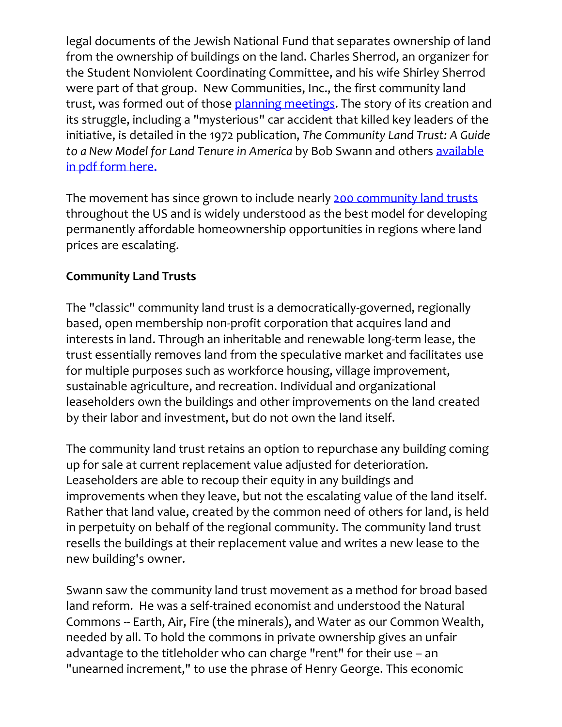legal documents of the Jewish National Fund that separates ownership of land from the ownership of buildings on the land. Charles Sherrod, an organizer for the Student Nonviolent Coordinating Committee, and his wife Shirley Sherrod were part of that group. New Communities, Inc., the first community land trust, was formed out of those [planning meetings.](https://centerforneweconomics.org/publications/a-new-community-for-southwest-georgia/) The story of its creation and its struggle, including a "mysterious" car accident that killed key leaders of the initiative, is detailed in the 1972 publication, *The Community Land Trust: A Guide to a New Model for Land Tenure in America* by Bob Swann and others [available](http://www.centerforneweconomics.org/sites/default/files/CLTbookCondensed.pdf)  [in pdf form here.](http://www.centerforneweconomics.org/sites/default/files/CLTbookCondensed.pdf)

The movement has since grown to include nearly [200 community land trusts](https://centerforneweconomics.org/apply/community-land-trust-program/directory/) throughout the US and is widely understood as the best model for developing permanently affordable homeownership opportunities in regions where land prices are escalating.

### **Community Land Trusts**

The "classic" community land trust is a democratically-governed, regionally based, open membership non-profit corporation that acquires land and interests in land. Through an inheritable and renewable long-term lease, the trust essentially removes land from the speculative market and facilitates use for multiple purposes such as workforce housing, village improvement, sustainable agriculture, and recreation. Individual and organizational leaseholders own the buildings and other improvements on the land created by their labor and investment, but do not own the land itself.

The community land trust retains an option to repurchase any building coming up for sale at current replacement value adjusted for deterioration. Leaseholders are able to recoup their equity in any buildings and improvements when they leave, but not the escalating value of the land itself. Rather that land value, created by the common need of others for land, is held in perpetuity on behalf of the regional community. The community land trust resells the buildings at their replacement value and writes a new lease to the new building's owner.

Swann saw the community land trust movement as a method for broad based land reform. He was a self-trained economist and understood the Natural Commons -- Earth, Air, Fire (the minerals), and Water as our Common Wealth, needed by all. To hold the commons in private ownership gives an unfair advantage to the titleholder who can charge "rent" for their use – an "unearned increment," to use the phrase of Henry George. This economic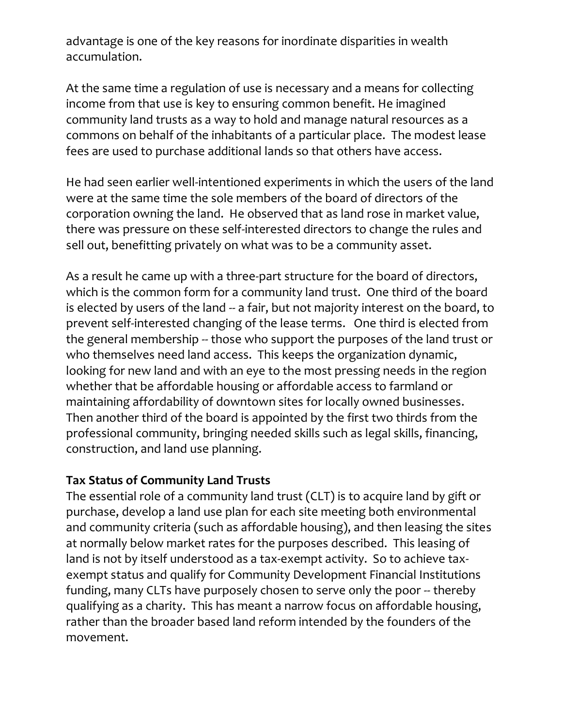advantage is one of the key reasons for inordinate disparities in wealth accumulation.

At the same time a regulation of use is necessary and a means for collecting income from that use is key to ensuring common benefit. He imagined community land trusts as a way to hold and manage natural resources as a commons on behalf of the inhabitants of a particular place. The modest lease fees are used to purchase additional lands so that others have access.

He had seen earlier well-intentioned experiments in which the users of the land were at the same time the sole members of the board of directors of the corporation owning the land. He observed that as land rose in market value, there was pressure on these self-interested directors to change the rules and sell out, benefitting privately on what was to be a community asset.

As a result he came up with a three-part structure for the board of directors, which is the common form for a community land trust. One third of the board is elected by users of the land -- a fair, but not majority interest on the board, to prevent self-interested changing of the lease terms. One third is elected from the general membership -- those who support the purposes of the land trust or who themselves need land access. This keeps the organization dynamic, looking for new land and with an eye to the most pressing needs in the region whether that be affordable housing or affordable access to farmland or maintaining affordability of downtown sites for locally owned businesses. Then another third of the board is appointed by the first two thirds from the professional community, bringing needed skills such as legal skills, financing, construction, and land use planning.

### **Tax Status of Community Land Trusts**

The essential role of a community land trust (CLT) is to acquire land by gift or purchase, develop a land use plan for each site meeting both environmental and community criteria (such as affordable housing), and then leasing the sites at normally below market rates for the purposes described. This leasing of land is not by itself understood as a tax-exempt activity. So to achieve taxexempt status and qualify for Community Development Financial Institutions funding, many CLTs have purposely chosen to serve only the poor -- thereby qualifying as a charity. This has meant a narrow focus on affordable housing, rather than the broader based land reform intended by the founders of the movement.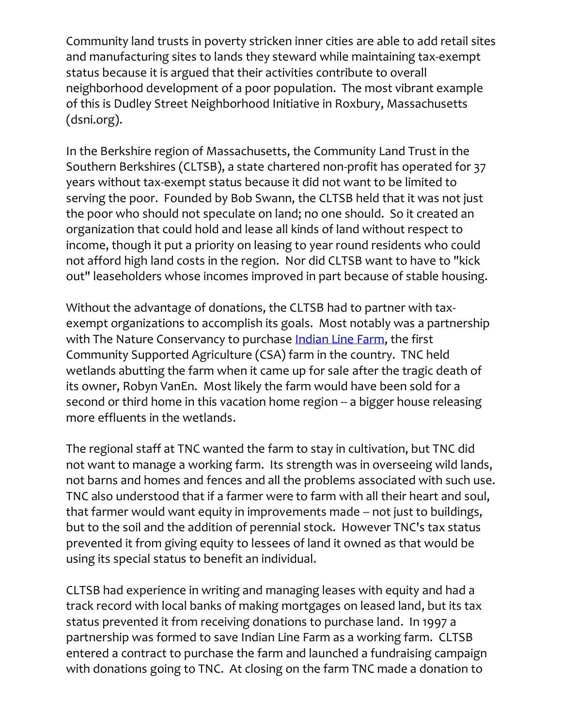Community land trusts in poverty stricken inner cities are able to add retail sites and manufacturing sites to lands they steward while maintaining tax-exempt status because it is argued that their activities contribute to overall neighborhood development of a poor population. The most vibrant example of this is Dudley Street Neighborhood Initiative in Roxbury, Massachusetts (dsni.org).

In the Berkshire region of Massachusetts, the Community Land Trust in the Southern Berkshires (CLTSB), a state chartered non-profit has operated for 37 years without tax-exempt status because it did not want to be limited to serving the poor. Founded by Bob Swann, the CLTSB held that it was not just the poor who should not speculate on land; no one should. So it created an organization that could hold and lease all kinds of land without respect to income, though it put a priority on leasing to year round residents who could not afford high land costs in the region. Nor did CLTSB want to have to "kick out" leaseholders whose incomes improved in part because of stable housing.

Without the advantage of donations, the CLTSB had to partner with taxexempt organizations to accomplish its goals. Most notably was a partnership with The Nature Conservancy to purchase [Indian Line Farm,](https://centerforneweconomics.org/apply/community-land-trust-program/indian-line-farm/) the first Community Supported Agriculture (CSA) farm in the country. TNC held wetlands abutting the farm when it came up for sale after the tragic death of its owner, Robyn VanEn. Most likely the farm would have been sold for a second or third home in this vacation home region -- a bigger house releasing more effluents in the wetlands.

The regional staff at TNC wanted the farm to stay in cultivation, but TNC did not want to manage a working farm. Its strength was in overseeing wild lands, not barns and homes and fences and all the problems associated with such use. TNC also understood that if a farmer were to farm with all their heart and soul, that farmer would want equity in improvements made -- not just to buildings, but to the soil and the addition of perennial stock. However TNC's tax status prevented it from giving equity to lessees of land it owned as that would be using its special status to benefit an individual.

CLTSB had experience in writing and managing leases with equity and had a track record with local banks of making mortgages on leased land, but its tax status prevented it from receiving donations to purchase land. In 1997 a partnership was formed to save Indian Line Farm as a working farm. CLTSB entered a contract to purchase the farm and launched a fundraising campaign with donations going to TNC. At closing on the farm TNC made a donation to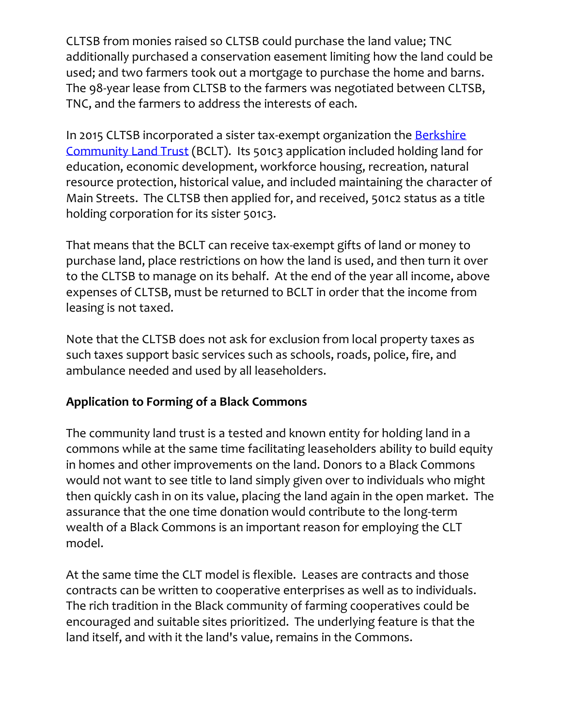CLTSB from monies raised so CLTSB could purchase the land value; TNC additionally purchased a conservation easement limiting how the land could be used; and two farmers took out a mortgage to purchase the home and barns. The 98-year lease from CLTSB to the farmers was negotiated between CLTSB, TNC, and the farmers to address the interests of each.

In 2015 CLTSB incorporated a sister tax-exempt organization the [Berkshire](http://berkshirecommunitylandtrust.org/)  [Community Land Trust](http://berkshirecommunitylandtrust.org/) (BCLT). Its 501c3 application included holding land for education, economic development, workforce housing, recreation, natural resource protection, historical value, and included maintaining the character of Main Streets. The CLTSB then applied for, and received, 501c2 status as a title holding corporation for its sister 501c3.

That means that the BCLT can receive tax-exempt gifts of land or money to purchase land, place restrictions on how the land is used, and then turn it over to the CLTSB to manage on its behalf. At the end of the year all income, above expenses of CLTSB, must be returned to BCLT in order that the income from leasing is not taxed.

Note that the CLTSB does not ask for exclusion from local property taxes as such taxes support basic services such as schools, roads, police, fire, and ambulance needed and used by all leaseholders.

# **Application to Forming of a Black Commons**

The community land trust is a tested and known entity for holding land in a commons while at the same time facilitating leaseholders ability to build equity in homes and other improvements on the land. Donors to a Black Commons would not want to see title to land simply given over to individuals who might then quickly cash in on its value, placing the land again in the open market. The assurance that the one time donation would contribute to the long-term wealth of a Black Commons is an important reason for employing the CLT model.

At the same time the CLT model is flexible. Leases are contracts and those contracts can be written to cooperative enterprises as well as to individuals. The rich tradition in the Black community of farming cooperatives could be encouraged and suitable sites prioritized. The underlying feature is that the land itself, and with it the land's value, remains in the Commons.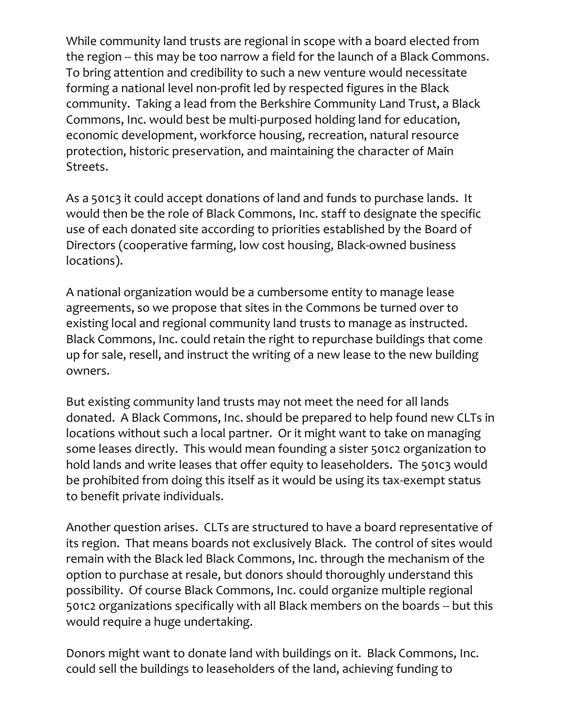While community land trusts are regional in scope with a board elected from the region -- this may be too narrow a field for the launch of a Black Commons. To bring attention and credibility to such a new venture would necessitate forming a national level non-profit led by respected figures in the Black community. Taking a lead from the Berkshire Community Land Trust, a Black Commons, Inc. would best be multi-purposed holding land for education, economic development, workforce housing, recreation, natural resource protection, historic preservation, and maintaining the character of Main Streets.

As a 501c3 it could accept donations of land and funds to purchase lands. It would then be the role of Black Commons, Inc. staff to designate the specific use of each donated site according to priorities established by the Board of Directors (cooperative farming, low cost housing, Black-owned business locations).

A national organization would be a cumbersome entity to manage lease agreements, so we propose that sites in the Commons be turned over to existing local and regional community land trusts to manage as instructed. Black Commons, Inc. could retain the right to repurchase buildings that come up for sale, resell, and instruct the writing of a new lease to the new building owners.

But existing community land trusts may not meet the need for all lands donated. A Black Commons, Inc. should be prepared to help found new CLTs in locations without such a local partner. Or it might want to take on managing some leases directly. This would mean founding a sister 501c2 organization to hold lands and write leases that offer equity to leaseholders. The 501c3 would be prohibited from doing this itself as it would be using its tax-exempt status to benefit private individuals.

Another question arises. CLTs are structured to have a board representative of its region. That means boards not exclusively Black. The control of sites would remain with the Black led Black Commons, Inc. through the mechanism of the option to purchase at resale, but donors should thoroughly understand this possibility. Of course Black Commons, Inc. could organize multiple regional 501c2 organizations specifically with all Black members on the boards -- but this would require a huge undertaking.

Donors might want to donate land with buildings on it. Black Commons, Inc. could sell the buildings to leaseholders of the land, achieving funding to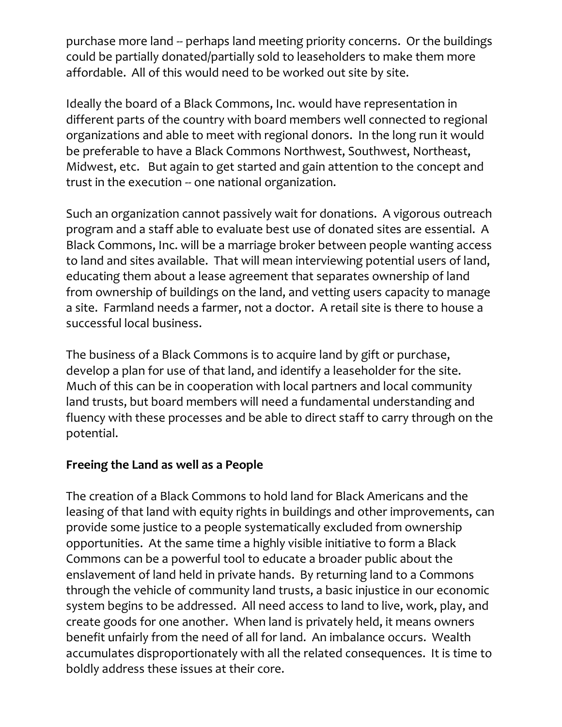purchase more land -- perhaps land meeting priority concerns. Or the buildings could be partially donated/partially sold to leaseholders to make them more affordable. All of this would need to be worked out site by site.

Ideally the board of a Black Commons, Inc. would have representation in different parts of the country with board members well connected to regional organizations and able to meet with regional donors. In the long run it would be preferable to have a Black Commons Northwest, Southwest, Northeast, Midwest, etc. But again to get started and gain attention to the concept and trust in the execution -- one national organization.

Such an organization cannot passively wait for donations. A vigorous outreach program and a staff able to evaluate best use of donated sites are essential. A Black Commons, Inc. will be a marriage broker between people wanting access to land and sites available. That will mean interviewing potential users of land, educating them about a lease agreement that separates ownership of land from ownership of buildings on the land, and vetting users capacity to manage a site. Farmland needs a farmer, not a doctor. A retail site is there to house a successful local business.

The business of a Black Commons is to acquire land by gift or purchase, develop a plan for use of that land, and identify a leaseholder for the site. Much of this can be in cooperation with local partners and local community land trusts, but board members will need a fundamental understanding and fluency with these processes and be able to direct staff to carry through on the potential.

#### **Freeing the Land as well as a People**

The creation of a Black Commons to hold land for Black Americans and the leasing of that land with equity rights in buildings and other improvements, can provide some justice to a people systematically excluded from ownership opportunities. At the same time a highly visible initiative to form a Black Commons can be a powerful tool to educate a broader public about the enslavement of land held in private hands. By returning land to a Commons through the vehicle of community land trusts, a basic injustice in our economic system begins to be addressed. All need access to land to live, work, play, and create goods for one another. When land is privately held, it means owners benefit unfairly from the need of all for land. An imbalance occurs. Wealth accumulates disproportionately with all the related consequences. It is time to boldly address these issues at their core.